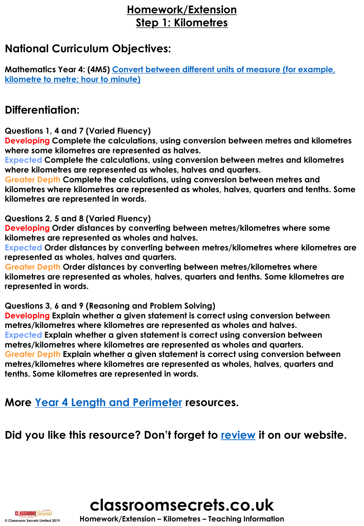## **Homework/Extension Step 1: Kilometres**

### **National Curriculum Objectives:**

**[Mathematics Year 4: \(4M5\) Convert between different units of measure \(for example,](https://classroomsecrets.co.uk/content-domain-filter/?fwp_contentdomain=4m5)  kilometre to metre; hour to minute)**

## **Differentiation:**

**Questions 1, 4 and 7 (Varied Fluency)**

**Developing Complete the calculations, using conversion between metres and kilometres where some kilometres are represented as halves.**

**Expected Complete the calculations, using conversion between metres and kilometres where kilometres are represented as wholes, halves and quarters.** 

**Greater Depth Complete the calculations, using conversion between metres and kilometres where kilometres are represented as wholes, halves, quarters and tenths. Some kilometres are represented in words.**

**Questions 2, 5 and 8 (Varied Fluency)**

**Developing Order distances by converting between metres/kilometres where some kilometres are represented as wholes and halves.**

**Expected Order distances by converting between metres/kilometres where kilometres are represented as wholes, halves and quarters.** 

**Greater Depth Order distances by converting between metres/kilometres where kilometres are represented as wholes, halves, quarters and tenths. Some kilometres are represented in words.**

**Questions 3, 6 and 9 (Reasoning and Problem Solving)**

**Developing Explain whether a given statement is correct using conversion between metres/kilometres where kilometres are represented as wholes and halves. Expected Explain whether a given statement is correct using conversion between metres/kilometres where kilometres are represented as wholes and quarters. Greater Depth Explain whether a given statement is correct using conversion between metres/kilometres where kilometres are represented as wholes, halves, quarters and tenths. Some kilometres are represented in words.**

**More [Year 4 Length and Perimeter](https://classroomsecrets.co.uk/category/maths/year-4/autumn-block-3-length-and-perimeter/) resources.**

**Did you like this resource? Don't forget to [review](https://classroomsecrets.co.uk/kilometres-homework-extension-year-4-length-and-perimeter) it on our website.**

**classroomsecrets.co.uk**

**© Classroom Secrets Limited 2019 Homework/Extension – Kilometres – Teaching Information**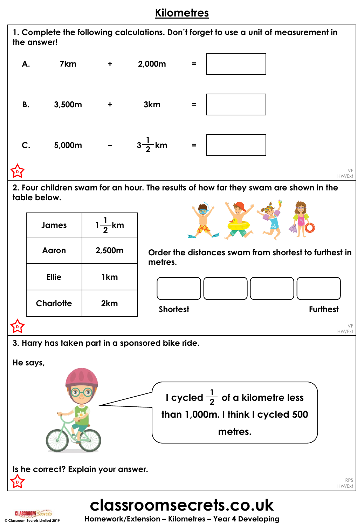## **Kilometres**



## **classroomsecrets.co.uk**

**© Classroom Secrets Limited 2019 Homework/Extension – Kilometres – Year 4 Developing**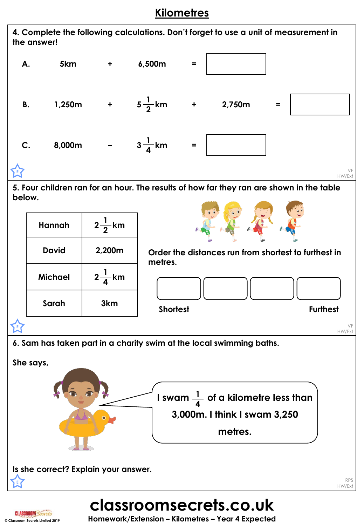## **Kilometres**



**classroomsecrets.co.uk**

RPS HW/Ext



**E**

**© Classroom Secrets Limited 2019 Homework/Extension – Kilometres – Year 4 Expected**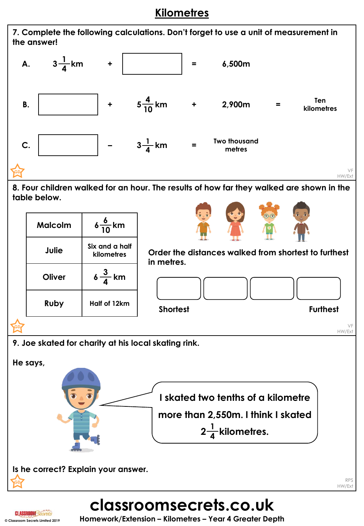## **Kilometres**

**7. Complete the following calculations. Don't forget to use a unit of measurement in the answer!** 



**8. Four children walked for an hour. The results of how far they walked are shown in the table below.**

| <b>Malcolm</b> | $6\frac{6}{10}$ km           |
|----------------|------------------------------|
| Julie          | Six and a half<br>kilometres |
| Oliver         | $6\frac{3}{4}$ km            |
| <b>Ruby</b>    | Half of 12km                 |



**Order the distances walked from shortest to furthest in metres.**



VF HW/Ext

**9. Joe skated for charity at his local skating rink.** 



# **classroomsecrets.co.uk**



**GD**

**© Classroom Secrets Limited 2019 Homework/Extension – Kilometres – Year 4 Greater Depth**